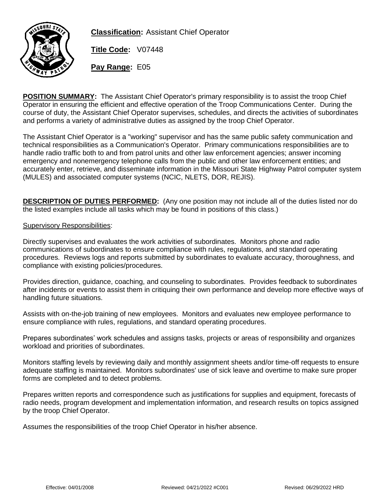

**Classification:** Assistant Chief Operator

**Title Code:** V07448

**Pay Range:** E05

**POSITION SUMMARY:** The Assistant Chief Operator's primary responsibility is to assist the troop Chief Operator in ensuring the efficient and effective operation of the Troop Communications Center. During the course of duty, the Assistant Chief Operator supervises, schedules, and directs the activities of subordinates and performs a variety of administrative duties as assigned by the troop Chief Operator.

The Assistant Chief Operator is a "working" supervisor and has the same public safety communication and technical responsibilities as a Communication's Operator. Primary communications responsibilities are to handle radio traffic both to and from patrol units and other law enforcement agencies; answer incoming emergency and nonemergency telephone calls from the public and other law enforcement entities; and accurately enter, retrieve, and disseminate information in the Missouri State Highway Patrol computer system (MULES) and associated computer systems (NCIC, NLETS, DOR, REJIS).

**DESCRIPTION OF DUTIES PERFORMED:** (Any one position may not include all of the duties listed nor do the listed examples include all tasks which may be found in positions of this class.)

### Supervisory Responsibilities:

Directly supervises and evaluates the work activities of subordinates. Monitors phone and radio communications of subordinates to ensure compliance with rules, regulations, and standard operating procedures. Reviews logs and reports submitted by subordinates to evaluate accuracy, thoroughness, and compliance with existing policies/procedures.

Provides direction, guidance, coaching, and counseling to subordinates. Provides feedback to subordinates after incidents or events to assist them in critiquing their own performance and develop more effective ways of handling future situations.

Assists with on-the-job training of new employees. Monitors and evaluates new employee performance to ensure compliance with rules, regulations, and standard operating procedures.

Prepares subordinates' work schedules and assigns tasks, projects or areas of responsibility and organizes workload and priorities of subordinates.

Monitors staffing levels by reviewing daily and monthly assignment sheets and/or time-off requests to ensure adequate staffing is maintained. Monitors subordinates' use of sick leave and overtime to make sure proper forms are completed and to detect problems.

Prepares written reports and correspondence such as justifications for supplies and equipment, forecasts of radio needs, program development and implementation information, and research results on topics assigned by the troop Chief Operator.

Assumes the responsibilities of the troop Chief Operator in his/her absence.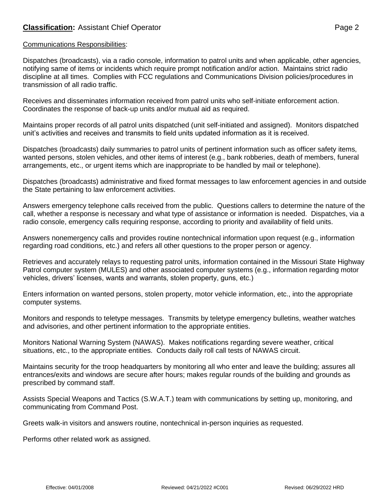### Communications Responsibilities:

Dispatches (broadcasts), via a radio console, information to patrol units and when applicable, other agencies, notifying same of items or incidents which require prompt notification and/or action. Maintains strict radio discipline at all times. Complies with FCC regulations and Communications Division policies/procedures in transmission of all radio traffic.

Receives and disseminates information received from patrol units who self-initiate enforcement action. Coordinates the response of back-up units and/or mutual aid as required.

Maintains proper records of all patrol units dispatched (unit self-initiated and assigned). Monitors dispatched unit's activities and receives and transmits to field units updated information as it is received.

Dispatches (broadcasts) daily summaries to patrol units of pertinent information such as officer safety items, wanted persons, stolen vehicles, and other items of interest (e.g., bank robberies, death of members, funeral arrangements, etc., or urgent items which are inappropriate to be handled by mail or telephone).

Dispatches (broadcasts) administrative and fixed format messages to law enforcement agencies in and outside the State pertaining to law enforcement activities.

Answers emergency telephone calls received from the public. Questions callers to determine the nature of the call, whether a response is necessary and what type of assistance or information is needed. Dispatches, via a radio console, emergency calls requiring response, according to priority and availability of field units.

Answers nonemergency calls and provides routine nontechnical information upon request (e.g., information regarding road conditions, etc.) and refers all other questions to the proper person or agency.

Retrieves and accurately relays to requesting patrol units, information contained in the Missouri State Highway Patrol computer system (MULES) and other associated computer systems (e.g., information regarding motor vehicles, drivers' licenses, wants and warrants, stolen property, guns, etc.)

Enters information on wanted persons, stolen property, motor vehicle information, etc., into the appropriate computer systems.

Monitors and responds to teletype messages. Transmits by teletype emergency bulletins, weather watches and advisories, and other pertinent information to the appropriate entities.

Monitors National Warning System (NAWAS). Makes notifications regarding severe weather, critical situations, etc., to the appropriate entities. Conducts daily roll call tests of NAWAS circuit.

Maintains security for the troop headquarters by monitoring all who enter and leave the building; assures all entrances/exits and windows are secure after hours; makes regular rounds of the building and grounds as prescribed by command staff.

Assists Special Weapons and Tactics (S.W.A.T.) team with communications by setting up, monitoring, and communicating from Command Post.

Greets walk-in visitors and answers routine, nontechnical in-person inquiries as requested.

Performs other related work as assigned.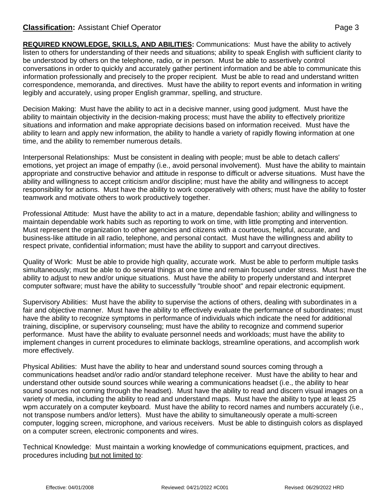## **Classification:** Assistant Chief Operator **Page 3** Page 3

**REQUIRED KNOWLEDGE, SKILLS, AND ABILITIES:** Communications: Must have the ability to actively listen to others for understanding of their needs and situations; ability to speak English with sufficient clarity to be understood by others on the telephone, radio, or in person. Must be able to assertively control conversations in order to quickly and accurately gather pertinent information and be able to communicate this information professionally and precisely to the proper recipient. Must be able to read and understand written correspondence, memoranda, and directives. Must have the ability to report events and information in writing legibly and accurately, using proper English grammar, spelling, and structure.

Decision Making: Must have the ability to act in a decisive manner, using good judgment. Must have the ability to maintain objectivity in the decision-making process; must have the ability to effectively prioritize situations and information and make appropriate decisions based on information received. Must have the ability to learn and apply new information, the ability to handle a variety of rapidly flowing information at one time, and the ability to remember numerous details.

Interpersonal Relationships: Must be consistent in dealing with people; must be able to detach callers' emotions, yet project an image of empathy (i.e., avoid personal involvement). Must have the ability to maintain appropriate and constructive behavior and attitude in response to difficult or adverse situations. Must have the ability and willingness to accept criticism and/or discipline; must have the ability and willingness to accept responsibility for actions. Must have the ability to work cooperatively with others; must have the ability to foster teamwork and motivate others to work productively together.

Professional Attitude: Must have the ability to act in a mature, dependable fashion; ability and willingness to maintain dependable work habits such as reporting to work on time, with little prompting and intervention. Must represent the organization to other agencies and citizens with a courteous, helpful, accurate, and business-like attitude in all radio, telephone, and personal contact. Must have the willingness and ability to respect private, confidential information; must have the ability to support and carryout directives.

Quality of Work: Must be able to provide high quality, accurate work. Must be able to perform multiple tasks simultaneously; must be able to do several things at one time and remain focused under stress. Must have the ability to adjust to new and/or unique situations. Must have the ability to properly understand and interpret computer software; must have the ability to successfully "trouble shoot" and repair electronic equipment.

Supervisory Abilities: Must have the ability to supervise the actions of others, dealing with subordinates in a fair and objective manner. Must have the ability to effectively evaluate the performance of subordinates; must have the ability to recognize symptoms in performance of individuals which indicate the need for additional training, discipline, or supervisory counseling; must have the ability to recognize and commend superior performance. Must have the ability to evaluate personnel needs and workloads; must have the ability to implement changes in current procedures to eliminate backlogs, streamline operations, and accomplish work more effectively.

Physical Abilities: Must have the ability to hear and understand sound sources coming through a communications headset and/or radio and/or standard telephone receiver. Must have the ability to hear and understand other outside sound sources while wearing a communications headset (i.e., the ability to hear sound sources not coming through the headset). Must have the ability to read and discern visual images on a variety of media, including the ability to read and understand maps. Must have the ability to type at least 25 wpm accurately on a computer keyboard. Must have the ability to record names and numbers accurately (i.e., not transpose numbers and/or letters). Must have the ability to simultaneously operate a multi-screen computer, logging screen, microphone, and various receivers. Must be able to distinguish colors as displayed on a computer screen, electronic components and wires.

Technical Knowledge: Must maintain a working knowledge of communications equipment, practices, and procedures including but not limited to: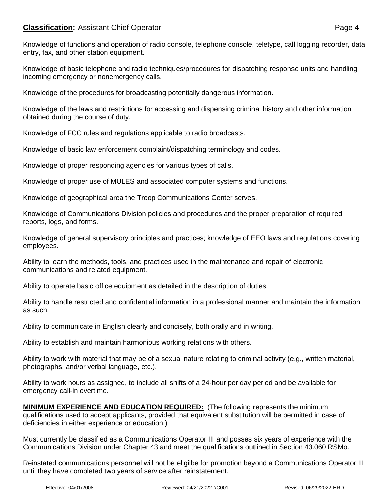# **Classification:** Assistant Chief Operator **Page 4**

Knowledge of functions and operation of radio console, telephone console, teletype, call logging recorder, data entry, fax, and other station equipment.

Knowledge of basic telephone and radio techniques/procedures for dispatching response units and handling incoming emergency or nonemergency calls.

Knowledge of the procedures for broadcasting potentially dangerous information.

Knowledge of the laws and restrictions for accessing and dispensing criminal history and other information obtained during the course of duty.

Knowledge of FCC rules and regulations applicable to radio broadcasts.

Knowledge of basic law enforcement complaint/dispatching terminology and codes.

Knowledge of proper responding agencies for various types of calls.

Knowledge of proper use of MULES and associated computer systems and functions.

Knowledge of geographical area the Troop Communications Center serves.

Knowledge of Communications Division policies and procedures and the proper preparation of required reports, logs, and forms.

Knowledge of general supervisory principles and practices; knowledge of EEO laws and regulations covering employees.

Ability to learn the methods, tools, and practices used in the maintenance and repair of electronic communications and related equipment.

Ability to operate basic office equipment as detailed in the description of duties.

Ability to handle restricted and confidential information in a professional manner and maintain the information as such.

Ability to communicate in English clearly and concisely, both orally and in writing.

Ability to establish and maintain harmonious working relations with others.

Ability to work with material that may be of a sexual nature relating to criminal activity (e.g., written material, photographs, and/or verbal language, etc.).

Ability to work hours as assigned, to include all shifts of a 24-hour per day period and be available for emergency call-in overtime.

**MINIMUM EXPERIENCE AND EDUCATION REQUIRED:** (The following represents the minimum qualifications used to accept applicants, provided that equivalent substitution will be permitted in case of deficiencies in either experience or education.)

Must currently be classified as a Communications Operator III and posses six years of experience with the Communications Division under Chapter 43 and meet the qualifications outlined in Section 43.060 RSMo.

Reinstated communications personnel will not be eligilbe for promotion beyond a Communications Operator III until they have completed two years of service after reinstatement.